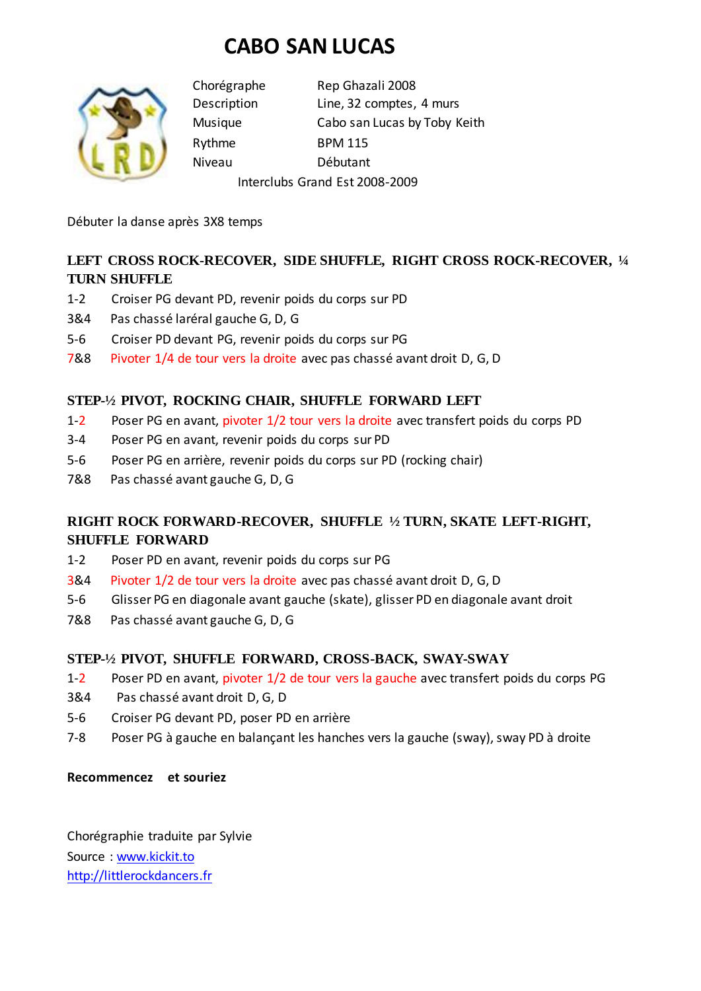# **CABO SAN LUCAS**



Chorégraphe Rep Ghazali 2008 Description Line, 32 comptes, 4 murs Musique Cabo san Lucas by Toby Keith Rythme BPM 115 Niveau Débutant

Interclubs Grand Est 2008-2009

Débuter la danse après 3X8 temps

### **LEFT CROSS ROCK-RECOVER, SIDE SHUFFLE, RIGHT CROSS ROCK-RECOVER, ¼ TURN SHUFFLE**

- 1-2 Croiser PG devant PD, revenir poids du corps sur PD
- 3&4 Pas chassé laréral gauche G, D, G
- 5-6 Croiser PD devant PG, revenir poids du corps sur PG
- 7&8 Pivoter 1/4 de tour vers la droite avec pas chassé avant droit D, G, D

#### **STEP-½ PIVOT, ROCKING CHAIR, SHUFFLE FORWARD LEFT**

- 1-2 Poser PG en avant, pivoter 1/2 tour vers la droite avec transfert poids du corps PD
- 3-4 Poser PG en avant, revenir poids du corps sur PD
- 5-6 Poser PG en arrière, revenir poids du corps sur PD (rocking chair)
- 7&8 Pas chassé avant gauche G, D, G

## **RIGHT ROCK FORWARD-RECOVER, SHUFFLE ½ TURN, SKATE LEFT-RIGHT, SHUFFLE FORWARD**

- 1-2 Poser PD en avant, revenir poids du corps sur PG
- 3&4 Pivoter 1/2 de tour vers la droite avec pas chassé avant droit D, G, D
- 5-6 Glisser PG en diagonale avant gauche (skate), glisser PD en diagonale avant droit
- 7&8 Pas chassé avant gauche G, D, G

#### **STEP-½ PIVOT, SHUFFLE FORWARD, CROSS-BACK, SWAY-SWAY**

- 1-2 Poser PD en avant, pivoter 1/2 de tour vers la gauche avec transfert poids du corps PG
- 3&4 Pas chassé avant droit D, G, D
- 5-6 Croiser PG devant PD, poser PD en arrière
- 7-8 Poser PG à gauche en balançant les hanches vers la gauche (sway), sway PD à droite

**Recommencez et souriez**

Chorégraphie traduite par Sylvie Source [: www.kickit.to](http://www.kickit.to/) [http://littlerockdancers.fr](http://littlerockdancers.fr/)